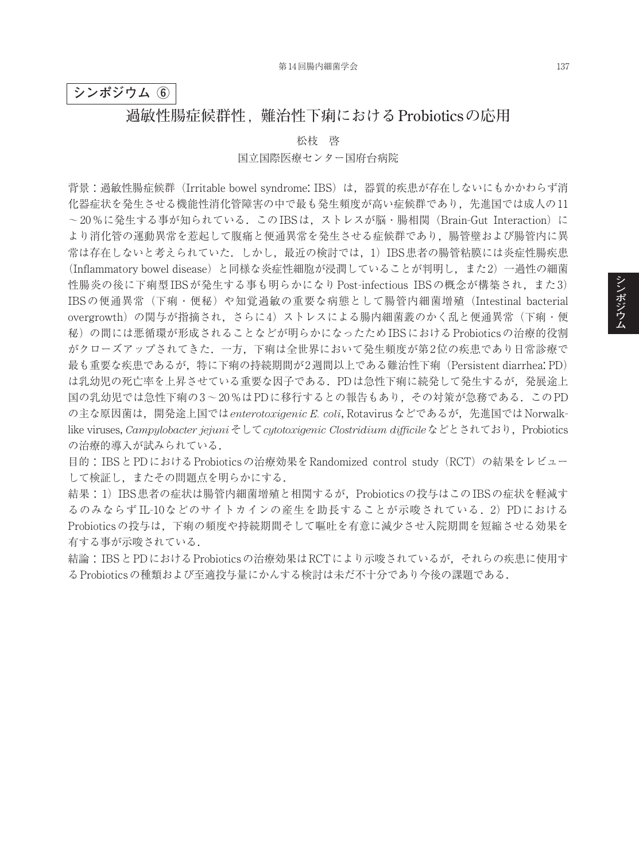## **シンポジウム ⑥**

## **過敏性腸症候群性,難治性下痢における Probioticsの応用**

松枝 啓

#### 国立国際医療センター国府台病院

背景: 過敏性腸症候群 (Irritable bowel syndrome: IBS) は、器質的疾患が存在しないにもかかわらず消 化器症状を発生させる機能性消化管障害の中で最も発生頻度が高い症候群であり、先進国では成人の11 ~20%に発生する事が知られている.このIBSは,ストレスが脳・腸相関(Brain-Gut Interaction)に より消化管の運動異常を惹起して腹痛と便通異常を発生させる症候群であり,腸管壁および腸管内に異 常は存在しないと考えられていた. しかし、最近の検討では、1) IBS患者の腸管粘膜には炎症性腸疾患 (Inflammatory bowel disease)と同様な炎症性細胞が浸潤していることが判明し,また2)一過性の細菌 性腸炎の後に下痢型 IBSが発生する事も明らかになり Post-infectious IBSの概念が構築され,また3) IBSの便通異常(下痢・便秘)や知覚過敏の重要な病態として腸管内細菌増殖(Intestinal bacterial overgrowth)の関与が指摘され、さらに4)ストレスによる腸内細菌叢のかく乱と便通異常(下痢・便 秘)の間には悪循環が形成されることなどが明らかになったためIBSにおけるProbioticsの治療的役割 がクローズアップされてきた.一方,下痢は全世界において発生頻度が第2位の疾患であり日常診療で 最も重要な疾患であるが,特に下痢の持続期間が2週間以上である難治性下痢(Persistent diarrhea: PD) は乳幼児の死亡率を上昇させている重要な因子である.PDは急性下痢に続発して発生するが,発展途上 国の乳幼児では急性下痢の3~20%はPDに移行するとの報告もあり,その対策が急務である.このPD の主な原因菌は,開発途上国では*enterotoxigenic E. coli*, Rotavirusなどであるが,先進国ではNorwalklike viruses, *Campylobacter jejuni*そして*cytotoxigenic Clostridium difficile*などとされており,Probiotics の治療的導入が試みられている.

目的:IBSとPDにおけるProbioticsの治療効果をRandomized control study(RCT)の結果をレビュー して検証し,またその問題点を明らかにする.

結果:1)IBS患者の症状は腸管内細菌増殖と相関するが, Probioticsの投与はこのIBSの症状を軽減す るのみならず IL-10などのサイトカインの産生を助長することが示唆されている. 2) PDにおける Probioticsの投与は,下痢の頻度や持続期間そして嘔吐を有意に減少させ入院期間を短縮させる効果を 有する事が示唆されている.

結論:IBSとPDにおけるProbioticsの治療効果はRCTにより示唆されているが,それらの疾患に使用す るProbioticsの種類および至適投与量にかんする検討は未だ不十分であり今後の課題である.